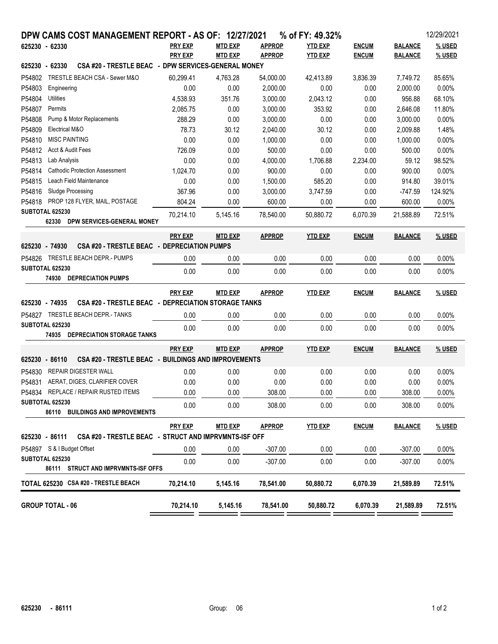| DPW CAMS COST MANAGEMENT REPORT - AS OF: 12/27/2021                     |                |                |               | % of FY: 49.32% |              |                | 12/29/2021 |
|-------------------------------------------------------------------------|----------------|----------------|---------------|-----------------|--------------|----------------|------------|
| 625230 - 62330                                                          | <b>PRY EXP</b> | <b>MTD EXP</b> | <b>APPROP</b> | <b>YTD EXP</b>  | <b>ENCUM</b> | <b>BALANCE</b> | % USED     |
|                                                                         | <b>PRY EXP</b> | <b>MTD EXP</b> | <b>APPROP</b> | <b>YTD EXP</b>  | <b>ENCUM</b> | <b>BALANCE</b> | % USED     |
| CSA #20 - TRESTLE BEAC - DPW SERVICES-GENERAL MONEY<br>625230 - 62330   |                |                |               |                 |              |                |            |
| P54802<br>TRESTLE BEACH CSA - Sewer M&O                                 | 60.299.41      | 4.763.28       | 54,000.00     | 42,413.89       | 3,836.39     | 7,749.72       | 85.65%     |
| P54803<br>Engineering                                                   | 0.00           | 0.00           | 2,000.00      | 0.00            | 0.00         | 2,000.00       | 0.00%      |
| P54804<br>Utilities                                                     | 4,538.93       | 351.76         | 3,000.00      | 2,043.12        | 0.00         | 956.88         | 68.10%     |
| P54807<br>Permits                                                       | 2,085.75       | 0.00           | 3,000.00      | 353.92          | 0.00         | 2,646.08       | 11.80%     |
| P54808<br>Pump & Motor Replacements                                     | 288.29         | 0.00           | 3,000.00      | 0.00            | 0.00         | 3,000.00       | 0.00%      |
| P54809<br>Electrical M&O                                                | 78.73          | 30.12          | 2,040.00      | 30.12           | 0.00         | 2,009.88       | 1.48%      |
| P54810<br><b>MISC PAINTING</b>                                          | 0.00           | 0.00           | 1,000.00      | 0.00            | 0.00         | 1,000.00       | 0.00%      |
| P54812<br>Acct & Audit Fees                                             | 726.09         | 0.00           | 500.00        | 0.00            | 0.00         | 500.00         | 0.00%      |
| P54813<br>Lab Analysis                                                  | 0.00           | 0.00           | 4,000.00      | 1,706.88        | 2,234.00     | 59.12          | 98.52%     |
| P54814<br><b>Cathodic Protection Assessment</b>                         | 1,024.70       | 0.00           | 900.00        | 0.00            | 0.00         | 900.00         | 0.00%      |
| Leach Field Maintenance<br>P54815<br>Sludge Processing<br>P54816        | 0.00           | 0.00           | 1,500.00      | 585.20          | 0.00         | 914.80         | 39.01%     |
| PROP 128 FLYER, MAIL, POSTAGE<br>P54818                                 | 367.96         | 0.00           | 3,000.00      | 3,747.59        | 0.00         | $-747.59$      | 124.92%    |
| SUBTOTAL 625230                                                         | 804.24         | 0.00           | 600.00        | 0.00            | 0.00         | 600.00         | 0.00%      |
| 62330 DPW SERVICES-GENERAL MONEY                                        | 70,214.10      | 5,145.16       | 78.540.00     | 50,880.72       | 6,070.39     | 21,588.89      | 72.51%     |
|                                                                         | <b>PRY EXP</b> | <b>MTD EXP</b> | <b>APPROP</b> | <b>YTD EXP</b>  | <b>ENCUM</b> | <b>BALANCE</b> | % USED     |
| CSA #20 - TRESTLE BEAC - DEPRECIATION PUMPS<br>625230 - 74930           |                |                |               |                 |              |                |            |
| P54826 TRESTLE BEACH DEPR.- PUMPS                                       | 0.00           | 0.00           | 0.00          | 0.00            | 0.00         | 0.00           | $0.00\%$   |
| SUBTOTAL 625230<br><b>74930 DEPRECIATION PUMPS</b>                      | 0.00           | 0.00           | 0.00          | 0.00            | 0.00         | 0.00           | 0.00%      |
|                                                                         | <b>PRY EXP</b> | <b>MTD EXP</b> | <b>APPROP</b> | <b>YTD EXP</b>  | <b>ENCUM</b> | <b>BALANCE</b> | % USED     |
| CSA #20 - TRESTLE BEAC - DEPRECIATION STORAGE TANKS<br>625230 - 74935   |                |                |               |                 |              |                |            |
| P54827 TRESTLE BEACH DEPR.- TANKS                                       | 0.00           | 0.00           | 0.00          | 0.00            | 0.00         | 0.00           | 0.00%      |
| SUBTOTAL 625230                                                         | 0.00           | 0.00           | 0.00          | 0.00            | 0.00         | 0.00           | 0.00%      |
| 74935 DEPRECIATION STORAGE TANKS                                        |                |                |               |                 |              |                |            |
|                                                                         | <b>PRY EXP</b> | <b>MTD EXP</b> | <b>APPROP</b> | <b>YTD EXP</b>  | <b>ENCUM</b> | <b>BALANCE</b> | % USED     |
| CSA #20 - TRESTLE BEAC - BUILDINGS AND IMPROVEMENTS<br>625230 - 86110   |                |                |               |                 |              |                |            |
| P54830<br><b>REPAIR DIGESTER WALL</b>                                   | 0.00           | 0.00           | 0.00          | 0.00            | 0.00         | 0.00           | 0.00%      |
| P54831<br>AERAT, DIGES, CLARIFIER COVER                                 | 0.00           | 0.00           | 0.00          | 0.00            | 0.00         | 0.00           | 0.00%      |
| P54834<br>REPLACE / REPAIR RUSTED ITEMS                                 | 0.00           | 0.00           | 308.00        | 0.00            | 0.00         | 308.00         | 0.00%      |
| SUBTOTAL 625230<br>86110 BUILDINGS AND IMPROVEMENTS                     | 0.00           | 0.00           | 308.00        | 0.00            | 0.00         | 308.00         | $0.00\%$   |
|                                                                         | <b>PRY EXP</b> | <b>MTD EXP</b> | <u>APPROP</u> | <b>YTD EXP</b>  | <b>ENCUM</b> | <b>BALANCE</b> | % USED     |
| 625230 - 86111<br>CSA #20 - TRESTLE BEAC - STRUCT AND IMPRVMNTS-ISF OFF |                |                |               |                 |              |                |            |
| P54897 S & I Budget Offset                                              | 0.00           | 0.00           | $-307.00$     | 0.00            | 0.00         | $-307.00$      | $0.00\%$   |
| SUBTOTAL 625230<br>86111 STRUCT AND IMPRVMNTS-ISF OFFS                  | 0.00           | 0.00           | $-307.00$     | 0.00            | 0.00         | $-307.00$      | 0.00%      |
| TOTAL 625230 CSA #20 - TRESTLE BEACH                                    | 70,214.10      | 5,145.16       | 78,541.00     | 50,880.72       | 6,070.39     | 21,589.89      | 72.51%     |
| <b>GROUP TOTAL - 06</b>                                                 | 70,214.10      | 5,145.16       | 78,541.00     | 50,880.72       | 6,070.39     | 21,589.89      | 72.51%     |